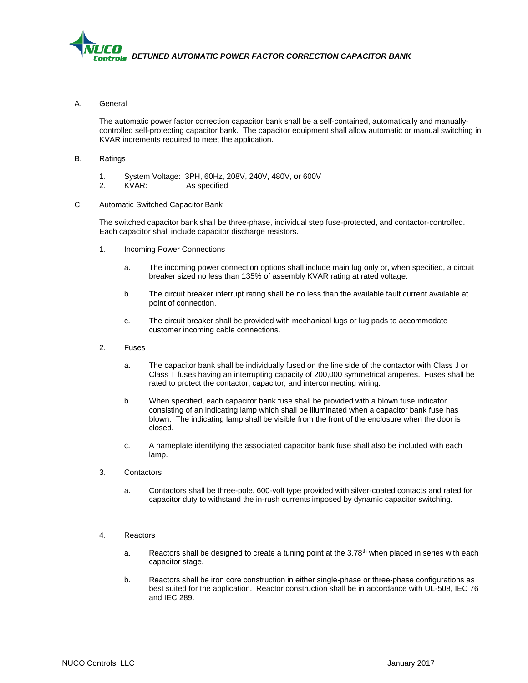

A. General

The automatic power factor correction capacitor bank shall be a self-contained, automatically and manuallycontrolled self-protecting capacitor bank. The capacitor equipment shall allow automatic or manual switching in KVAR increments required to meet the application.

- B. Ratings
	- 1. System Voltage: 3PH, 60Hz, 208V, 240V, 480V, or 600V
	- 2. KVAR: As specified
- C. Automatic Switched Capacitor Bank

The switched capacitor bank shall be three-phase, individual step fuse-protected, and contactor-controlled. Each capacitor shall include capacitor discharge resistors.

- 1. Incoming Power Connections
	- a. The incoming power connection options shall include main lug only or, when specified, a circuit breaker sized no less than 135% of assembly KVAR rating at rated voltage.
	- b. The circuit breaker interrupt rating shall be no less than the available fault current available at point of connection.
	- c. The circuit breaker shall be provided with mechanical lugs or lug pads to accommodate customer incoming cable connections.
- 2. Fuses
	- a. The capacitor bank shall be individually fused on the line side of the contactor with Class J or Class T fuses having an interrupting capacity of 200,000 symmetrical amperes. Fuses shall be rated to protect the contactor, capacitor, and interconnecting wiring.
	- b. When specified, each capacitor bank fuse shall be provided with a blown fuse indicator consisting of an indicating lamp which shall be illuminated when a capacitor bank fuse has blown. The indicating lamp shall be visible from the front of the enclosure when the door is closed.
	- c. A nameplate identifying the associated capacitor bank fuse shall also be included with each lamp.
- 3. Contactors
	- a. Contactors shall be three-pole, 600-volt type provided with silver-coated contacts and rated for capacitor duty to withstand the in-rush currents imposed by dynamic capacitor switching.
- 4. Reactors
	- a. Reactors shall be designed to create a tuning point at the  $3.78<sup>th</sup>$  when placed in series with each capacitor stage.
	- b. Reactors shall be iron core construction in either single-phase or three-phase configurations as best suited for the application. Reactor construction shall be in accordance with UL-508, IEC 76 and IEC 289.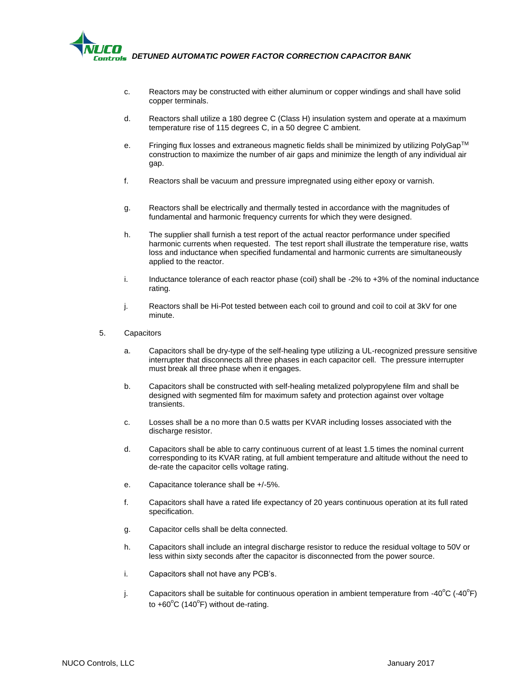

- c. Reactors may be constructed with either aluminum or copper windings and shall have solid copper terminals.
- d. Reactors shall utilize a 180 degree C (Class H) insulation system and operate at a maximum temperature rise of 115 degrees C, in a 50 degree C ambient.
- e. Fringing flux losses and extraneous magnetic fields shall be minimized by utilizing PolyGap<sup>TM</sup> construction to maximize the number of air gaps and minimize the length of any individual air gap.
- f. Reactors shall be vacuum and pressure impregnated using either epoxy or varnish.
- g. Reactors shall be electrically and thermally tested in accordance with the magnitudes of fundamental and harmonic frequency currents for which they were designed.
- h. The supplier shall furnish a test report of the actual reactor performance under specified harmonic currents when requested. The test report shall illustrate the temperature rise, watts loss and inductance when specified fundamental and harmonic currents are simultaneously applied to the reactor.
- i. Inductance tolerance of each reactor phase (coil) shall be -2% to +3% of the nominal inductance rating.
- j. Reactors shall be Hi-Pot tested between each coil to ground and coil to coil at 3kV for one minute.
- 5. Capacitors
	- a. Capacitors shall be dry-type of the self-healing type utilizing a UL-recognized pressure sensitive interrupter that disconnects all three phases in each capacitor cell. The pressure interrupter must break all three phase when it engages.
	- b. Capacitors shall be constructed with self-healing metalized polypropylene film and shall be designed with segmented film for maximum safety and protection against over voltage transients.
	- c. Losses shall be a no more than 0.5 watts per KVAR including losses associated with the discharge resistor.
	- d. Capacitors shall be able to carry continuous current of at least 1.5 times the nominal current corresponding to its KVAR rating, at full ambient temperature and altitude without the need to de-rate the capacitor cells voltage rating.
	- e. Capacitance tolerance shall be +/-5%.
	- f. Capacitors shall have a rated life expectancy of 20 years continuous operation at its full rated specification.
	- g. Capacitor cells shall be delta connected.
	- h. Capacitors shall include an integral discharge resistor to reduce the residual voltage to 50V or less within sixty seconds after the capacitor is disconnected from the power source.
	- i. Capacitors shall not have any PCB's.
	- j. Capacitors shall be suitable for continuous operation in ambient temperature from -40 $\rm ^{o}C$  (-40 $\rm ^{o}F)$ to +60 $^{\circ}$ C (140 $^{\circ}$ F) without de-rating.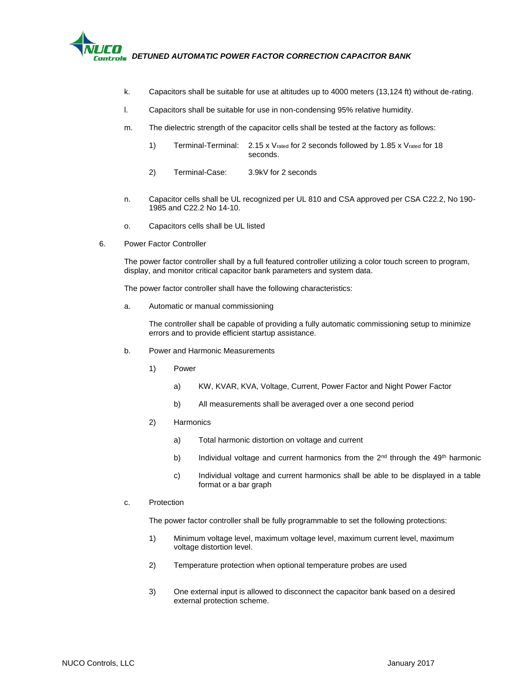

- k. Capacitors shall be suitable for use at altitudes up to 4000 meters (13,124 ft) without de-rating.
- l. Capacitors shall be suitable for use in non-condensing 95% relative humidity.
- m. The dielectric strength of the capacitor cells shall be tested at the factory as follows:
	- 1) Terminal-Terminal: 2.15 x Vrated for 2 seconds followed by 1.85 x Vrated for 18 seconds.
	- 2) Terminal-Case: 3.9kV for 2 seconds
- n. Capacitor cells shall be UL recognized per UL 810 and CSA approved per CSA C22.2, No 190- 1985 and C22.2 No 14-10.
- o. Capacitors cells shall be UL listed
- 6. Power Factor Controller

The power factor controller shall by a full featured controller utilizing a color touch screen to program, display, and monitor critical capacitor bank parameters and system data.

The power factor controller shall have the following characteristics:

a. Automatic or manual commissioning

The controller shall be capable of providing a fully automatic commissioning setup to minimize errors and to provide efficient startup assistance.

- b. Power and Harmonic Measurements
	- 1) Power
		- a) KW, KVAR, KVA, Voltage, Current, Power Factor and Night Power Factor
		- b) All measurements shall be averaged over a one second period
	- 2) Harmonics
		- a) Total harmonic distortion on voltage and current
		- b) Individual voltage and current harmonics from the  $2<sup>nd</sup>$  through the 49<sup>th</sup> harmonic
		- c) Individual voltage and current harmonics shall be able to be displayed in a table format or a bar graph
- c. Protection

The power factor controller shall be fully programmable to set the following protections:

- 1) Minimum voltage level, maximum voltage level, maximum current level, maximum voltage distortion level.
- 2) Temperature protection when optional temperature probes are used
- 3) One external input is allowed to disconnect the capacitor bank based on a desired external protection scheme.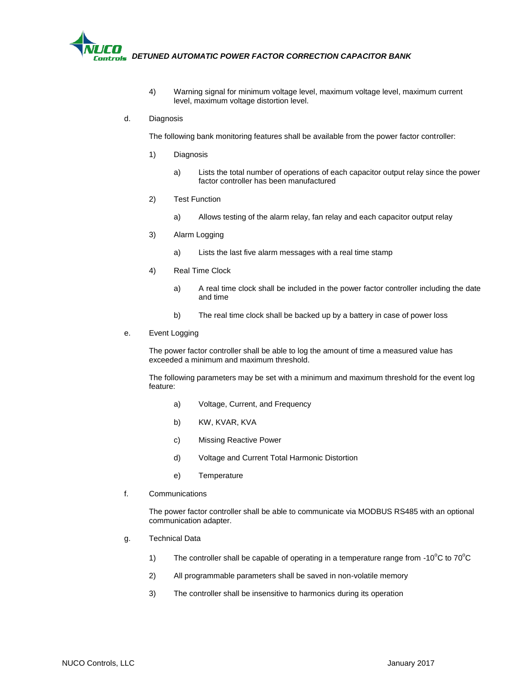

- 4) Warning signal for minimum voltage level, maximum voltage level, maximum current level, maximum voltage distortion level.
- d. Diagnosis

The following bank monitoring features shall be available from the power factor controller:

- 1) Diagnosis
	- a) Lists the total number of operations of each capacitor output relay since the power factor controller has been manufactured
- 2) Test Function
	- a) Allows testing of the alarm relay, fan relay and each capacitor output relay
- 3) Alarm Logging
	- a) Lists the last five alarm messages with a real time stamp
- 4) Real Time Clock
	- a) A real time clock shall be included in the power factor controller including the date and time
	- b) The real time clock shall be backed up by a battery in case of power loss
- e. Event Logging

The power factor controller shall be able to log the amount of time a measured value has exceeded a minimum and maximum threshold.

The following parameters may be set with a minimum and maximum threshold for the event log feature:

- a) Voltage, Current, and Frequency
- b) KW, KVAR, KVA
- c) Missing Reactive Power
- d) Voltage and Current Total Harmonic Distortion
- e) Temperature
- f. Communications

The power factor controller shall be able to communicate via MODBUS RS485 with an optional communication adapter.

- g. Technical Data
	- 1) The controller shall be capable of operating in a temperature range from -10 $^{\circ}$ C to 70 $^{\circ}$ C
	- 2) All programmable parameters shall be saved in non-volatile memory
	- 3) The controller shall be insensitive to harmonics during its operation